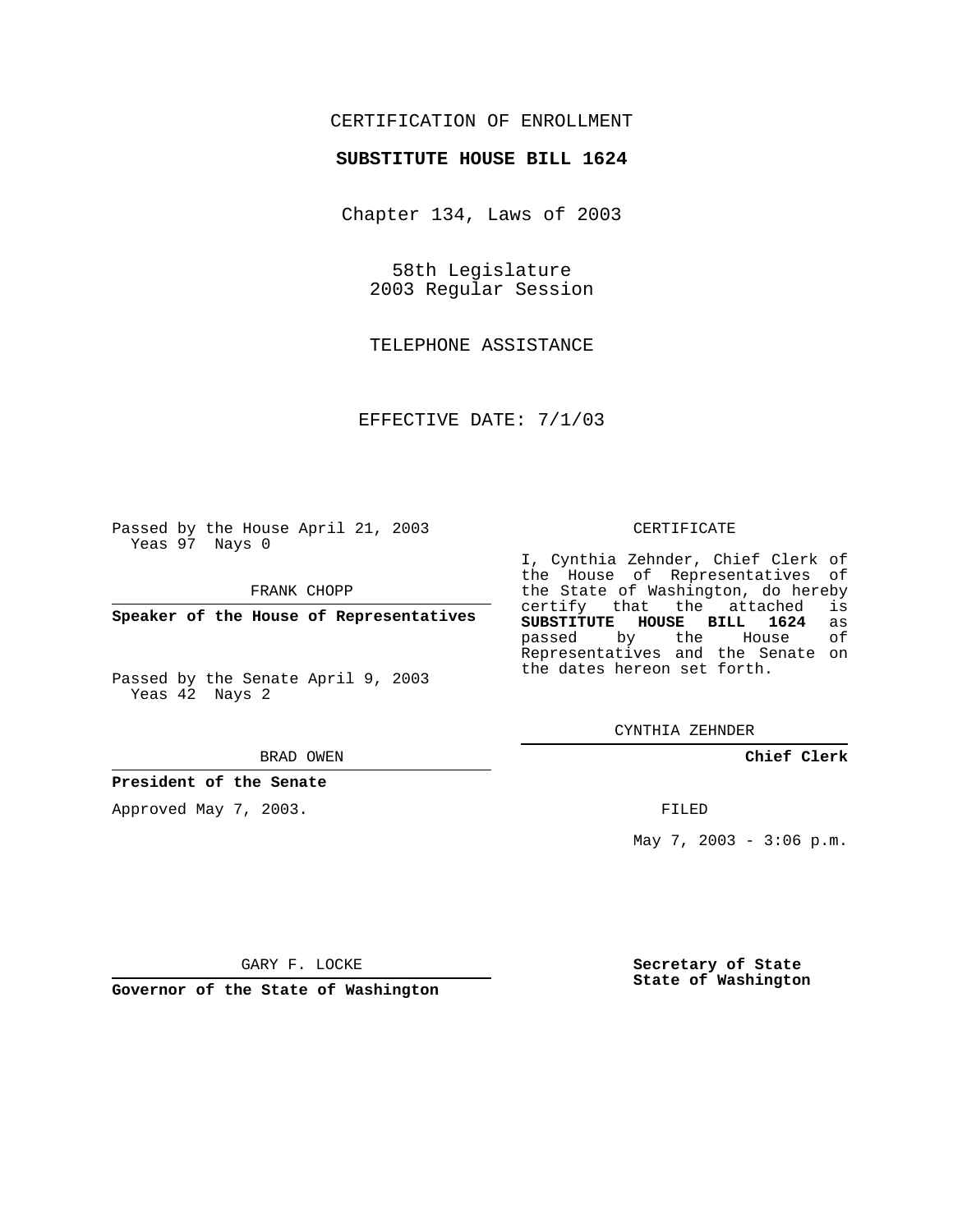## CERTIFICATION OF ENROLLMENT

## **SUBSTITUTE HOUSE BILL 1624**

Chapter 134, Laws of 2003

58th Legislature 2003 Regular Session

TELEPHONE ASSISTANCE

EFFECTIVE DATE: 7/1/03

Passed by the House April 21, 2003 Yeas 97 Nays 0

FRANK CHOPP

**Speaker of the House of Representatives**

Passed by the Senate April 9, 2003 Yeas 42 Nays 2

#### BRAD OWEN

**President of the Senate**

Approved May 7, 2003.

#### CERTIFICATE

I, Cynthia Zehnder, Chief Clerk of the House of Representatives of the State of Washington, do hereby<br>certify that the attached is certify that the attached **SUBSTITUTE HOUSE BILL 1624** as passed by the Representatives and the Senate on the dates hereon set forth.

CYNTHIA ZEHNDER

**Chief Clerk**

FILED

May 7, 2003 - 3:06 p.m.

GARY F. LOCKE

**Governor of the State of Washington**

**Secretary of State State of Washington**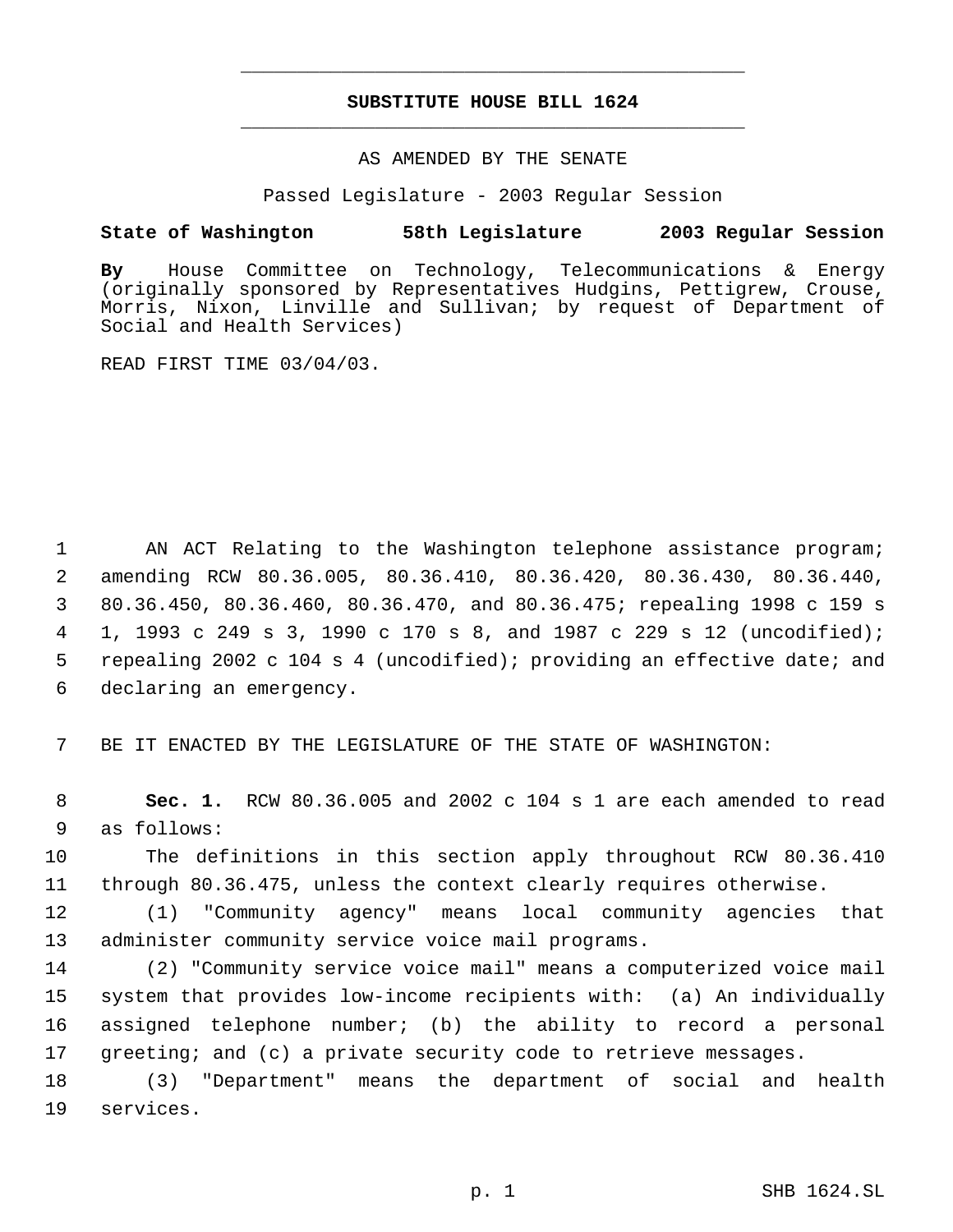# **SUBSTITUTE HOUSE BILL 1624** \_\_\_\_\_\_\_\_\_\_\_\_\_\_\_\_\_\_\_\_\_\_\_\_\_\_\_\_\_\_\_\_\_\_\_\_\_\_\_\_\_\_\_\_\_

\_\_\_\_\_\_\_\_\_\_\_\_\_\_\_\_\_\_\_\_\_\_\_\_\_\_\_\_\_\_\_\_\_\_\_\_\_\_\_\_\_\_\_\_\_

### AS AMENDED BY THE SENATE

Passed Legislature - 2003 Regular Session

# **State of Washington 58th Legislature 2003 Regular Session**

**By** House Committee on Technology, Telecommunications & Energy (originally sponsored by Representatives Hudgins, Pettigrew, Crouse, Morris, Nixon, Linville and Sullivan; by request of Department of Social and Health Services)

READ FIRST TIME 03/04/03.

 AN ACT Relating to the Washington telephone assistance program; amending RCW 80.36.005, 80.36.410, 80.36.420, 80.36.430, 80.36.440, 80.36.450, 80.36.460, 80.36.470, and 80.36.475; repealing 1998 c 159 s 1, 1993 c 249 s 3, 1990 c 170 s 8, and 1987 c 229 s 12 (uncodified); repealing 2002 c 104 s 4 (uncodified); providing an effective date; and declaring an emergency.

7 BE IT ENACTED BY THE LEGISLATURE OF THE STATE OF WASHINGTON:

 8 **Sec. 1.** RCW 80.36.005 and 2002 c 104 s 1 are each amended to read 9 as follows:

10 The definitions in this section apply throughout RCW 80.36.410 11 through 80.36.475, unless the context clearly requires otherwise.

12 (1) "Community agency" means local community agencies that 13 administer community service voice mail programs.

 (2) "Community service voice mail" means a computerized voice mail system that provides low-income recipients with: (a) An individually assigned telephone number; (b) the ability to record a personal 17 greeting; and (c) a private security code to retrieve messages.

18 (3) "Department" means the department of social and health 19 services.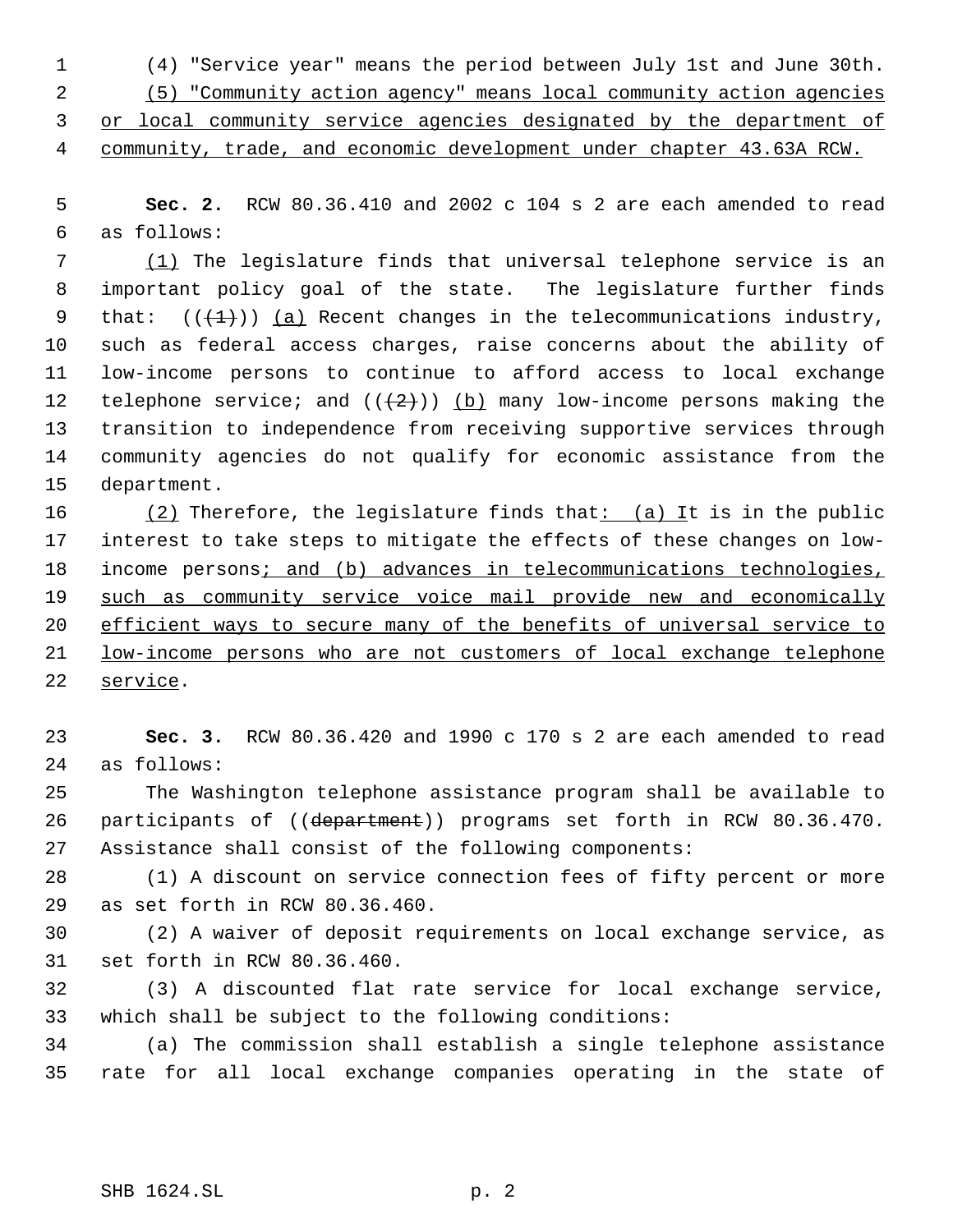(4) "Service year" means the period between July 1st and June 30th. (5) "Community action agency" means local community action agencies

or local community service agencies designated by the department of

4 community, trade, and economic development under chapter 43.63A RCW.

 **Sec. 2.** RCW 80.36.410 and 2002 c 104 s 2 are each amended to read as follows:

 (1) The legislature finds that universal telephone service is an important policy goal of the state. The legislature further finds 9 that:  $((+1))$  (a) Recent changes in the telecommunications industry, such as federal access charges, raise concerns about the ability of low-income persons to continue to afford access to local exchange 12 telephone service; and  $((+2))$  (b) many low-income persons making the transition to independence from receiving supportive services through community agencies do not qualify for economic assistance from the department.

16  $(2)$  Therefore, the legislature finds that:  $(a)$  It is in the public interest to take steps to mitigate the effects of these changes on low-18 income persons; and (b) advances in telecommunications technologies, 19 such as community service voice mail provide new and economically efficient ways to secure many of the benefits of universal service to low-income persons who are not customers of local exchange telephone service.

 **Sec. 3.** RCW 80.36.420 and 1990 c 170 s 2 are each amended to read as follows:

 The Washington telephone assistance program shall be available to 26 participants of ((department)) programs set forth in RCW 80.36.470. Assistance shall consist of the following components:

 (1) A discount on service connection fees of fifty percent or more as set forth in RCW 80.36.460.

 (2) A waiver of deposit requirements on local exchange service, as set forth in RCW 80.36.460.

 (3) A discounted flat rate service for local exchange service, which shall be subject to the following conditions:

 (a) The commission shall establish a single telephone assistance rate for all local exchange companies operating in the state of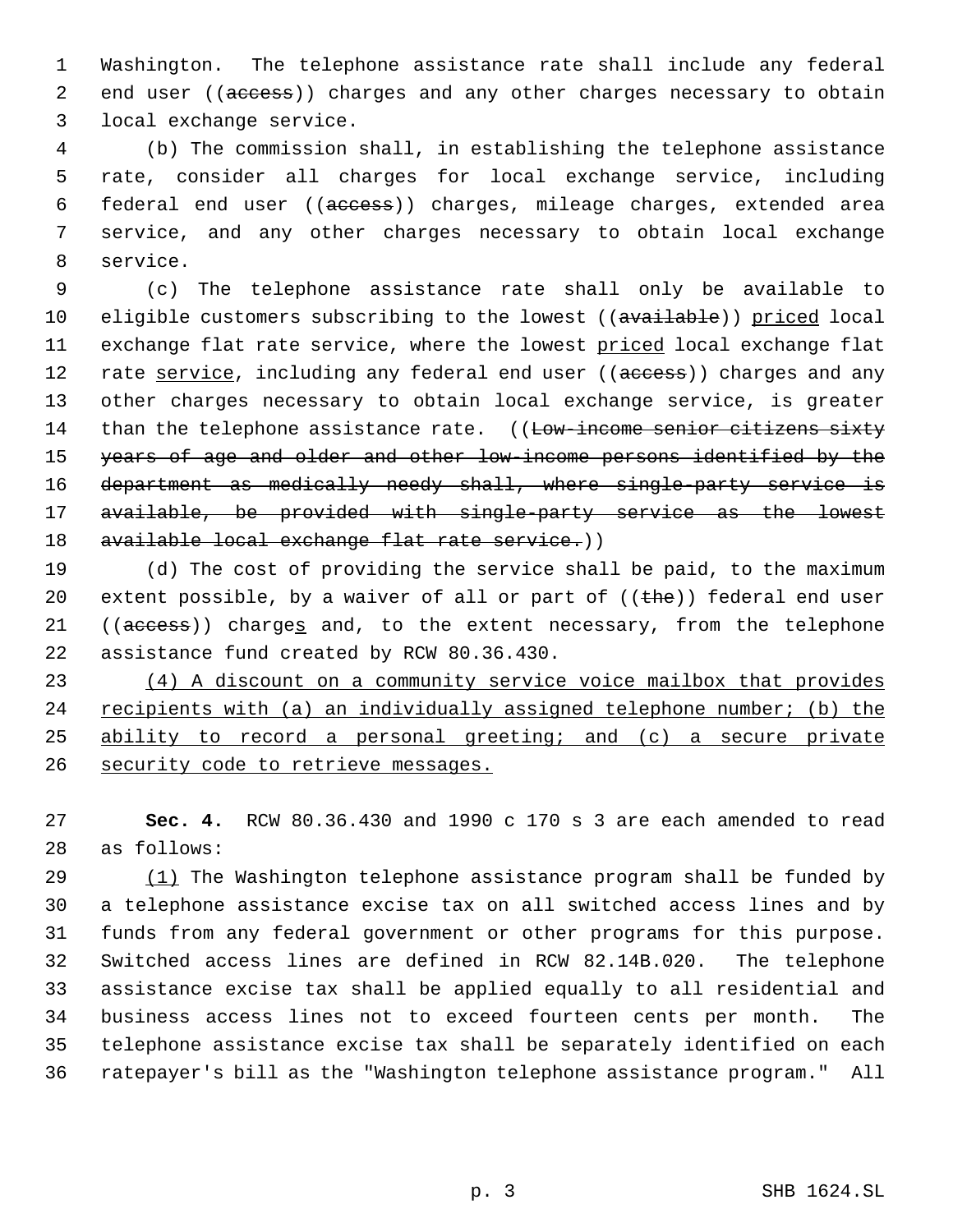Washington. The telephone assistance rate shall include any federal 2 end user ((access)) charges and any other charges necessary to obtain local exchange service.

 (b) The commission shall, in establishing the telephone assistance rate, consider all charges for local exchange service, including federal end user ((access)) charges, mileage charges, extended area service, and any other charges necessary to obtain local exchange service.

 (c) The telephone assistance rate shall only be available to 10 eligible customers subscribing to the lowest ((available)) priced local 11 exchange flat rate service, where the lowest priced local exchange flat 12 rate service, including any federal end user ((access)) charges and any other charges necessary to obtain local exchange service, is greater 14 than the telephone assistance rate. ((Low-income senior citizens sixty years of age and older and other low-income persons identified by the department as medically needy shall, where single-party service is available, be provided with single-party service as the lowest 18 available local exchange flat rate service.))

 (d) The cost of providing the service shall be paid, to the maximum 20 extent possible, by a waiver of all or part of  $((the)$ ) federal end user 21 ((access)) charges and, to the extent necessary, from the telephone assistance fund created by RCW 80.36.430.

 (4) A discount on a community service voice mailbox that provides 24 recipients with (a) an individually assigned telephone number; (b) the ability to record a personal greeting; and (c) a secure private 26 security code to retrieve messages.

 **Sec. 4.** RCW 80.36.430 and 1990 c 170 s 3 are each amended to read as follows:

29 (1) The Washington telephone assistance program shall be funded by a telephone assistance excise tax on all switched access lines and by funds from any federal government or other programs for this purpose. Switched access lines are defined in RCW 82.14B.020. The telephone assistance excise tax shall be applied equally to all residential and business access lines not to exceed fourteen cents per month. The telephone assistance excise tax shall be separately identified on each ratepayer's bill as the "Washington telephone assistance program." All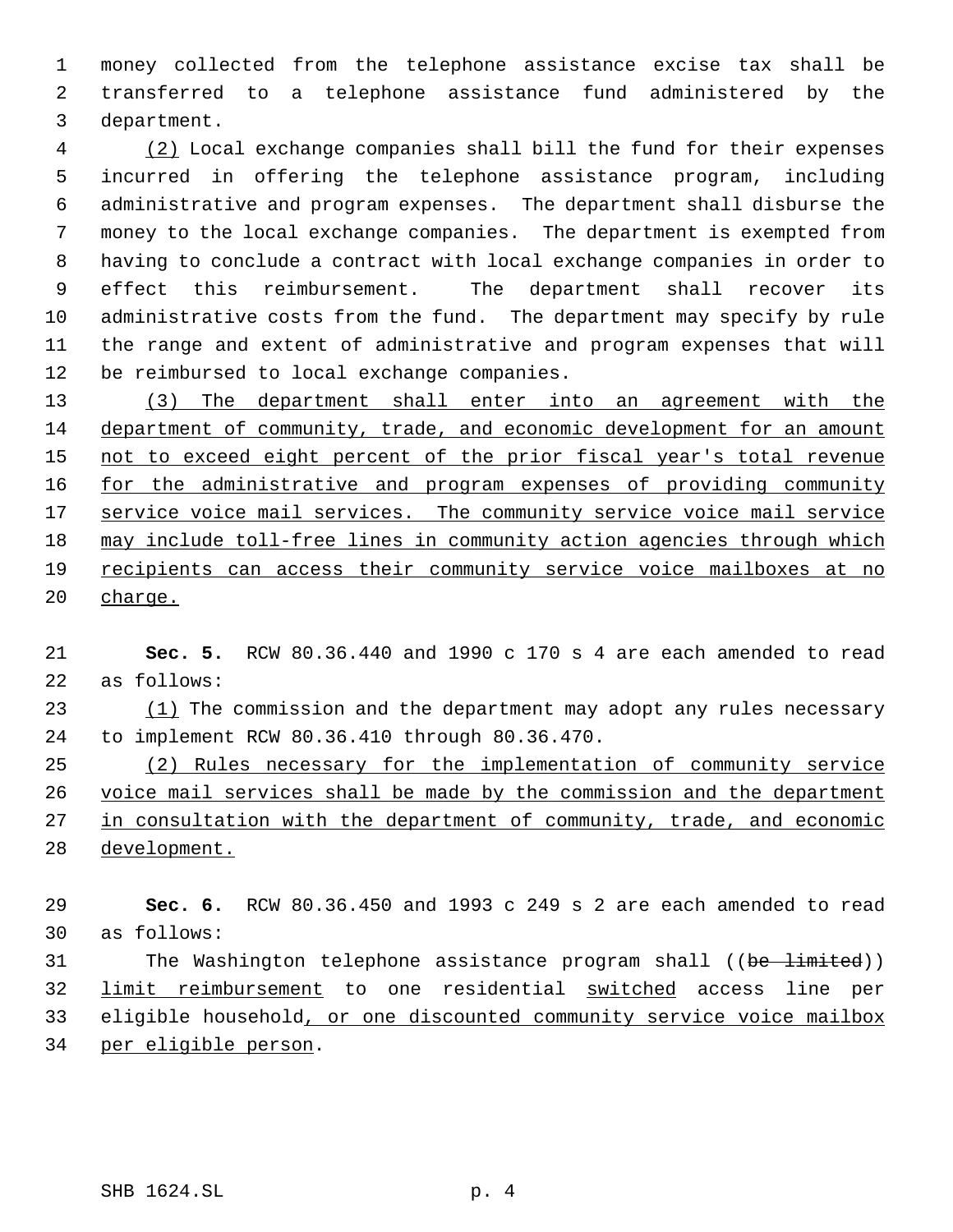money collected from the telephone assistance excise tax shall be transferred to a telephone assistance fund administered by the department.

 (2) Local exchange companies shall bill the fund for their expenses incurred in offering the telephone assistance program, including administrative and program expenses. The department shall disburse the money to the local exchange companies. The department is exempted from having to conclude a contract with local exchange companies in order to effect this reimbursement. The department shall recover its administrative costs from the fund. The department may specify by rule the range and extent of administrative and program expenses that will be reimbursed to local exchange companies.

 (3) The department shall enter into an agreement with the department of community, trade, and economic development for an amount 15 not to exceed eight percent of the prior fiscal year's total revenue 16 for the administrative and program expenses of providing community 17 service voice mail services. The community service voice mail service may include toll-free lines in community action agencies through which recipients can access their community service voice mailboxes at no 20 charge.

 **Sec. 5.** RCW 80.36.440 and 1990 c 170 s 4 are each amended to read as follows:

23 (1) The commission and the department may adopt any rules necessary to implement RCW 80.36.410 through 80.36.470.

 (2) Rules necessary for the implementation of community service 26 voice mail services shall be made by the commission and the department 27 in consultation with the department of community, trade, and economic development.

 **Sec. 6.** RCW 80.36.450 and 1993 c 249 s 2 are each amended to read as follows: 31 The Washington telephone assistance program shall ((be limited))

 limit reimbursement to one residential switched access line per 33 eligible household, or one discounted community service voice mailbox per eligible person.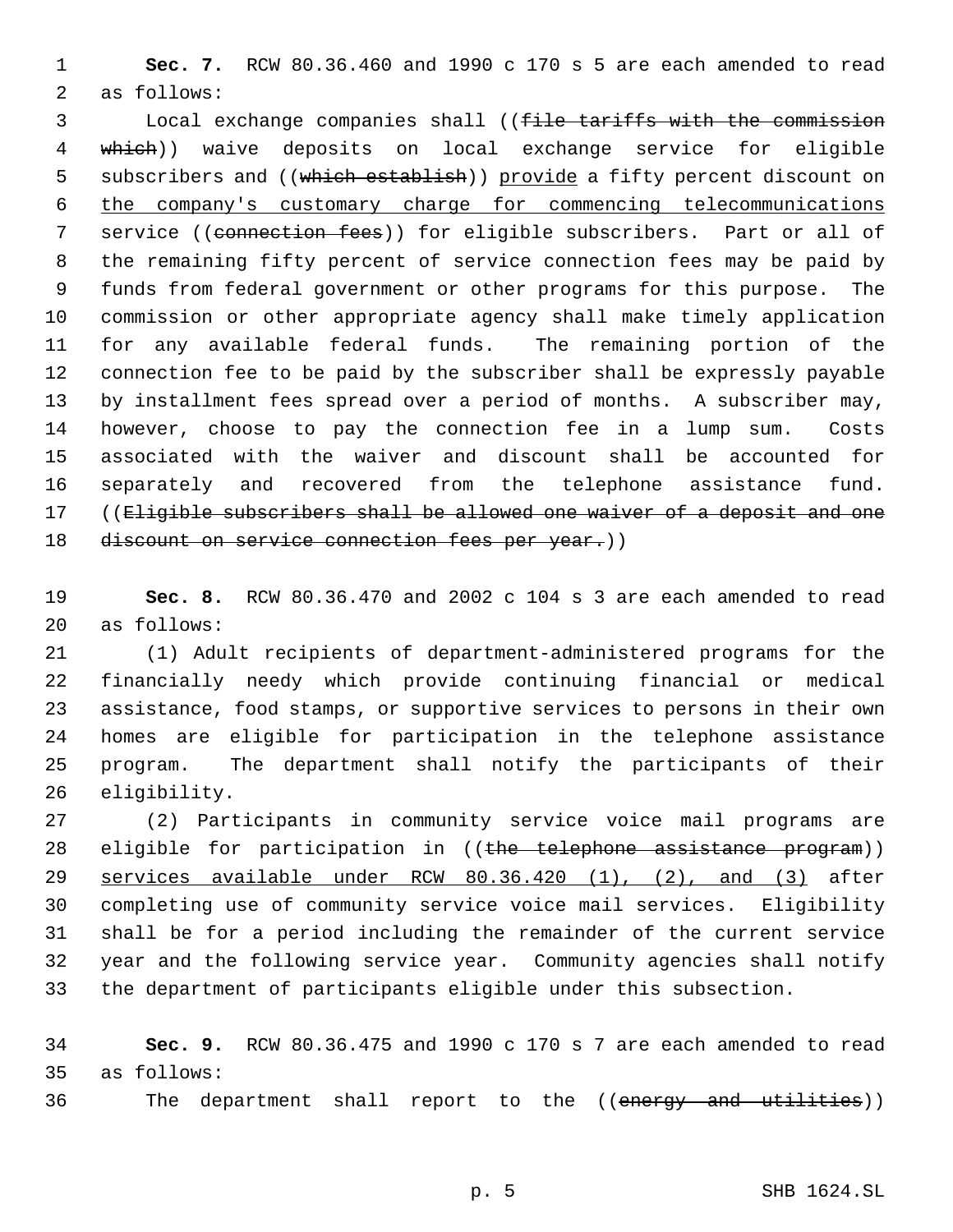**Sec. 7.** RCW 80.36.460 and 1990 c 170 s 5 are each amended to read as follows:

 Local exchange companies shall ((file tariffs with the commission which)) waive deposits on local exchange service for eligible 5 subscribers and ((which establish)) provide a fifty percent discount on the company's customary charge for commencing telecommunications 7 service ((connection fees)) for eligible subscribers. Part or all of the remaining fifty percent of service connection fees may be paid by funds from federal government or other programs for this purpose. The commission or other appropriate agency shall make timely application for any available federal funds. The remaining portion of the connection fee to be paid by the subscriber shall be expressly payable by installment fees spread over a period of months. A subscriber may, however, choose to pay the connection fee in a lump sum. Costs associated with the waiver and discount shall be accounted for separately and recovered from the telephone assistance fund. 17 ((Eligible subscribers shall be allowed one waiver of a deposit and one 18 discount on service connection fees per year.))

 **Sec. 8.** RCW 80.36.470 and 2002 c 104 s 3 are each amended to read as follows:

 (1) Adult recipients of department-administered programs for the financially needy which provide continuing financial or medical assistance, food stamps, or supportive services to persons in their own homes are eligible for participation in the telephone assistance program. The department shall notify the participants of their eligibility.

 (2) Participants in community service voice mail programs are 28 eligible for participation in ((the telephone assistance program)) services available under RCW 80.36.420 (1), (2), and (3) after completing use of community service voice mail services. Eligibility shall be for a period including the remainder of the current service year and the following service year. Community agencies shall notify the department of participants eligible under this subsection.

 **Sec. 9.** RCW 80.36.475 and 1990 c 170 s 7 are each amended to read as follows:

36 The department shall report to the ((energy and utilities))